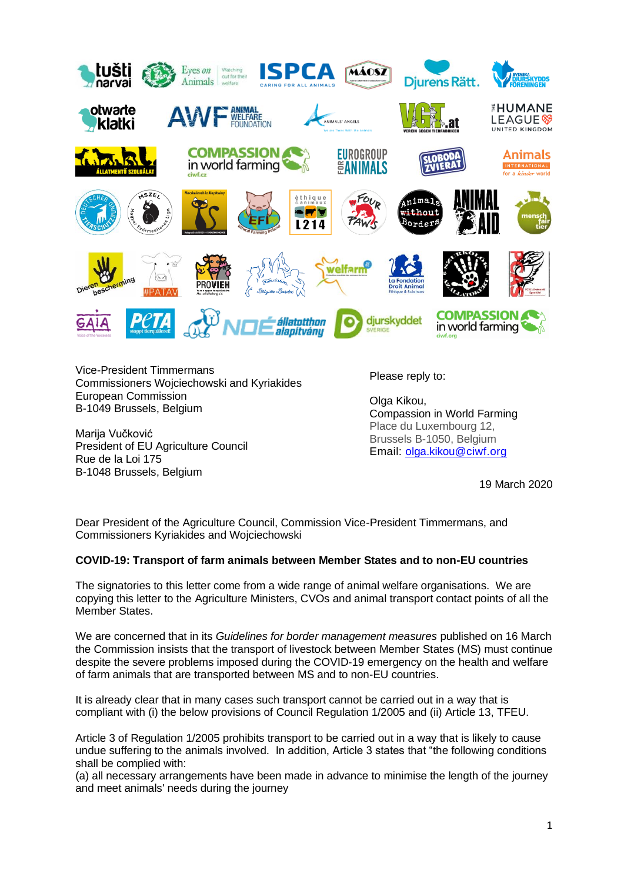

Vice-President Timmermans Commissioners Wojciechowski and Kyriakides European Commission B-1049 Brussels, Belgium

Marija Vučković President of EU Agriculture Council Rue de la Loi 175 B-1048 Brussels, Belgium

Please reply to:

Olga Kikou, Compassion in World Farming Place du Luxembourg 12, Brussels B-1050, Belgium Email: [olga.kikou@ciwf.org](mailto:olga.kikou@ciwf.org)

19 March 2020

Dear President of the Agriculture Council, Commission Vice-President Timmermans, and Commissioners Kyriakides and Wojciechowski

## **COVID-19: Transport of farm animals between Member States and to non-EU countries**

The signatories to this letter come from a wide range of animal welfare organisations. We are copying this letter to the Agriculture Ministers, CVOs and animal transport contact points of all the Member States.

We are concerned that in its *Guidelines for border management measures* published on 16 March the Commission insists that the transport of livestock between Member States (MS) must continue despite the severe problems imposed during the COVID-19 emergency on the health and welfare of farm animals that are transported between MS and to non-EU countries.

It is already clear that in many cases such transport cannot be carried out in a way that is compliant with (i) the below provisions of Council Regulation 1/2005 and (ii) Article 13, TFEU.

Article 3 of Regulation 1/2005 prohibits transport to be carried out in a way that is likely to cause undue suffering to the animals involved. In addition, Article 3 states that "the following conditions shall be complied with:

(a) all necessary arrangements have been made in advance to minimise the length of the journey and meet animals' needs during the journey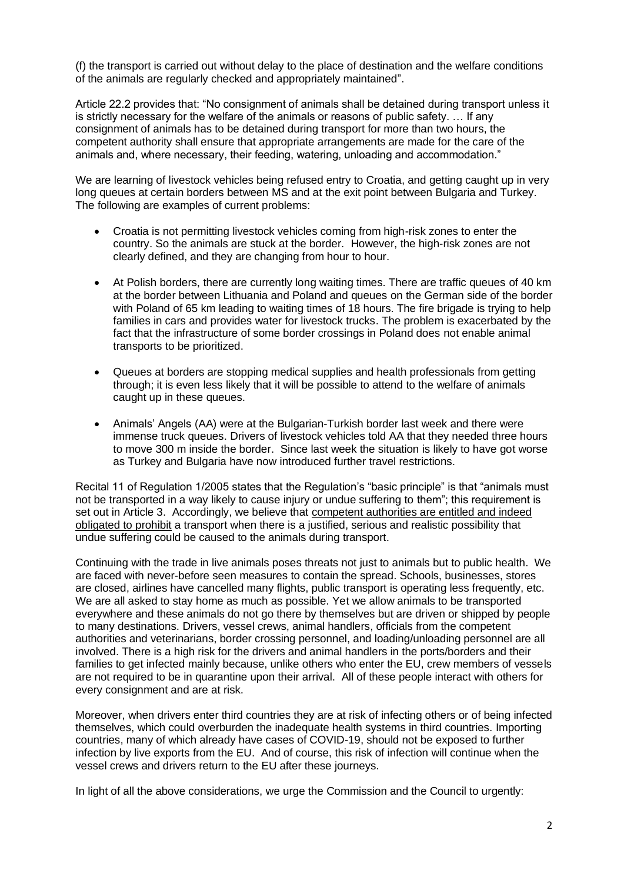(f) the transport is carried out without delay to the place of destination and the welfare conditions of the animals are regularly checked and appropriately maintained".

Article 22.2 provides that: "No consignment of animals shall be detained during transport unless it is strictly necessary for the welfare of the animals or reasons of public safety. … If any consignment of animals has to be detained during transport for more than two hours, the competent authority shall ensure that appropriate arrangements are made for the care of the animals and, where necessary, their feeding, watering, unloading and accommodation."

We are learning of livestock vehicles being refused entry to Croatia, and getting caught up in very long queues at certain borders between MS and at the exit point between Bulgaria and Turkey. The following are examples of current problems:

- Croatia is not permitting livestock vehicles coming from high-risk zones to enter the country. So the animals are stuck at the border. However, the high-risk zones are not clearly defined, and they are changing from hour to hour.
- At Polish borders, there are currently long waiting times. There are traffic queues of 40 km at the border between Lithuania and Poland and queues on the German side of the border with Poland of 65 km leading to waiting times of 18 hours. The fire brigade is trying to help families in cars and provides water for livestock trucks. The problem is exacerbated by the fact that the infrastructure of some border crossings in Poland does not enable animal transports to be prioritized.
- Queues at borders are stopping medical supplies and health professionals from getting through; it is even less likely that it will be possible to attend to the welfare of animals caught up in these queues.
- Animals' Angels (AA) were at the Bulgarian-Turkish border last week and there were immense truck queues. Drivers of livestock vehicles told AA that they needed three hours to move 300 m inside the border. Since last week the situation is likely to have got worse as Turkey and Bulgaria have now introduced further travel restrictions.

Recital 11 of Regulation 1/2005 states that the Regulation's "basic principle" is that "animals must not be transported in a way likely to cause injury or undue suffering to them"; this requirement is set out in Article 3. Accordingly, we believe that competent authorities are entitled and indeed obligated to prohibit a transport when there is a justified, serious and realistic possibility that undue suffering could be caused to the animals during transport.

Continuing with the trade in live animals poses threats not just to animals but to public health. We are faced with never-before seen measures to contain the spread. Schools, businesses, stores are closed, airlines have cancelled many flights, public transport is operating less frequently, etc. We are all asked to stay home as much as possible. Yet we allow animals to be transported everywhere and these animals do not go there by themselves but are driven or shipped by people to many destinations. Drivers, vessel crews, animal handlers, officials from the competent authorities and veterinarians, border crossing personnel, and loading/unloading personnel are all involved. There is a high risk for the drivers and animal handlers in the ports/borders and their families to get infected mainly because, unlike others who enter the EU, crew members of vessels are not required to be in quarantine upon their arrival. All of these people interact with others for every consignment and are at risk.

Moreover, when drivers enter third countries they are at risk of infecting others or of being infected themselves, which could overburden the inadequate health systems in third countries. Importing countries, many of which already have cases of COVID-19, should not be exposed to further infection by live exports from the EU. And of course, this risk of infection will continue when the vessel crews and drivers return to the EU after these journeys.

In light of all the above considerations, we urge the Commission and the Council to urgently: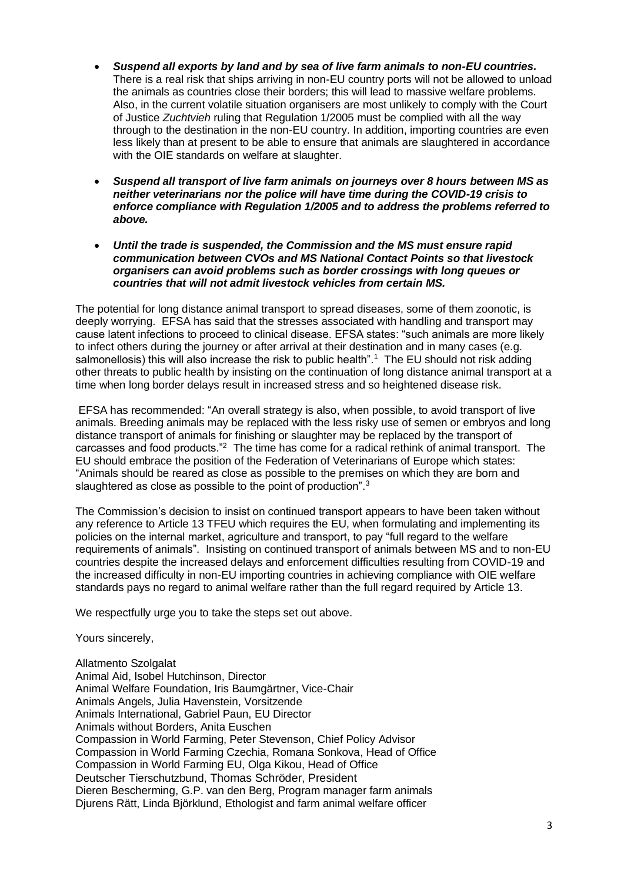- *Suspend all exports by land and by sea of live farm animals to non-EU countries.* There is a real risk that ships arriving in non-EU country ports will not be allowed to unload the animals as countries close their borders; this will lead to massive welfare problems. Also, in the current volatile situation organisers are most unlikely to comply with the Court of Justice *Zuchtvieh* ruling that Regulation 1/2005 must be complied with all the way through to the destination in the non-EU country. In addition, importing countries are even less likely than at present to be able to ensure that animals are slaughtered in accordance with the OIE standards on welfare at slaughter.
- *Suspend all transport of live farm animals on journeys over 8 hours between MS as neither veterinarians nor the police will have time during the COVID-19 crisis to enforce compliance with Regulation 1/2005 and to address the problems referred to above.*
- *Until the trade is suspended, the Commission and the MS must ensure rapid communication between CVOs and MS National Contact Points so that livestock organisers can avoid problems such as border crossings with long queues or countries that will not admit livestock vehicles from certain MS.*

The potential for long distance animal transport to spread diseases, some of them zoonotic, is deeply worrying. EFSA has said that the stresses associated with handling and transport may cause latent infections to proceed to clinical disease. EFSA states: "such animals are more likely to infect others during the journey or after arrival at their destination and in many cases (e.g. salmonellosis) this will also increase the risk to public health".<sup>1</sup> The EU should not risk adding other threats to public health by insisting on the continuation of long distance animal transport at a time when long border delays result in increased stress and so heightened disease risk.

EFSA has recommended: "An overall strategy is also, when possible, to avoid transport of live animals. Breeding animals may be replaced with the less risky use of semen or embryos and long distance transport of animals for finishing or slaughter may be replaced by the transport of carcasses and food products."<sup>2</sup> The time has come for a radical rethink of animal transport. The EU should embrace the position of the Federation of Veterinarians of Europe which states: "Animals should be reared as close as possible to the premises on which they are born and slaughtered as close as possible to the point of production".<sup>3</sup>

The Commission's decision to insist on continued transport appears to have been taken without any reference to Article 13 TFEU which requires the EU, when formulating and implementing its policies on the internal market, agriculture and transport, to pay "full regard to the welfare requirements of animals". Insisting on continued transport of animals between MS and to non-EU countries despite the increased delays and enforcement difficulties resulting from COVID-19 and the increased difficulty in non-EU importing countries in achieving compliance with OIE welfare standards pays no regard to animal welfare rather than the full regard required by Article 13.

We respectfully urge you to take the steps set out above.

Yours sincerely,

Allatmento Szolgalat Animal Aid, Isobel Hutchinson, Director Animal Welfare Foundation, Iris Baumgärtner, Vice-Chair Animals Angels, Julia Havenstein, Vorsitzende Animals International, Gabriel Paun, EU Director Animals without Borders, Anita Euschen Compassion in World Farming, Peter Stevenson, Chief Policy Advisor Compassion in World Farming Czechia, Romana Sonkova, Head of Office Compassion in World Farming EU, Olga Kikou, Head of Office Deutscher Tierschutzbund, Thomas Schröder, President Dieren Bescherming, G.P. van den Berg, Program manager farm animals Djurens Rätt, Linda Björklund, Ethologist and farm animal welfare officer